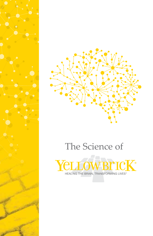

# The Science of

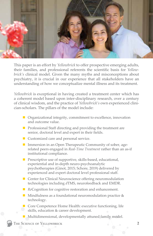

This paper is an effort by *Yellowbrick* to offer prospective emerging adults, their families, and professional referents the scientific basis for *Yellowbrick's* clinical model. Given the many myths and misconceptions about psychiatry, it is crucial in our experience that all stakeholders have an understanding of how we conceptualize mental illness and its treatment.

*Yellowbrick* is exceptional in having created a treatment center which has a coherent model based upon inter-disciplinary research, over a century of clinical wisdom, and the practice of *Yellowbrick's* own experienced clinician-scholars. The pillars of the model include:

- $\blacksquare$  Organizational integrity, commitment to excellence, innovation and outcome value.
- $\blacksquare$  Professional Staff directing and providing the treatment are senior, doctoral level and expert in their fields.
- $\blacksquare$  Customized care and personal service.
- **n** Immersion in an Open Therapeutic Community of sober, agerelated peers engaged in *Real-Time Treatment* rather than an as-if institutional compliance.
- $\blacksquare$  Prescriptive use of supportive, skills-based, educational, experiential and in-depth neuro-psychoanalytic psychotherapies (Ginot, 2015; Schore, 2019) delivered by experienced and expert doctoral level professional staff.
- $\blacksquare$  Center for Clinical Neuroscience offering neuromodulation technologies including *d*TMS, neurofeedback and EMDR.
- *Re*Cognition for cognitive restoration and enhancement.
- **n** Mindfulness as a foundational neuromodulation practice  $\&$ technology.
- $\blacksquare$  Core Competence Home Health: executive functioning, life skills, education & career development.
- $\blacksquare$  Multidimensional, developmentally attuned family model.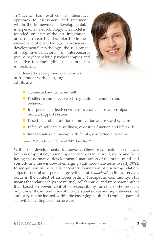*Yellowbrick* has evolved its theoretical approach to assessment and treatment within the framework of developmental, interpersonal neurobiology. The model is founded on state-of-the art integration of current research and scholarship in the areas of evolutionary biology, neuroscience, developmental psychology, the full range of cognitive-behavioral & interpersonal (neuro-psychoanalytic) psychotherapies, and executive functioning/life-skills approaches in treatment.



The desired developmental outcomes of treatment with emerging adults are:

- $\blacksquare$  Connected and coherent self
- Resilience and effective self-regulation of emotion and behavior
- $\blacksquare$  Interpersonal effectiveness across a range of relationships; build a support system
- Resetting and maturation of motivation and reward systems
- Effective self-care  $\&$  wellness, executive function and life-skills
- Renegotiate relationship with family; connected autonomy

(Arnett 2003, Schore 2012, Siegel 2012, Cozolino 2015)

Within this developmental framework, *Yellowbrick's* treatment enhances brain neuroplasticity, removing interferences to neural growth, and facilitating the normative developmental maturation of the brain, mind and spirit during the window of emerging adulthood (late teens to early 30's). In recognition of the vitally necessary foundation of nurturing relationships for neural and personal growth, all of *Yellowbrick's* clinical services occur in the context of an Open Setting Therapeutic Community. This means that relationships are mutual, collaborative and transparent rather than based on power, control or responsibility for others' choices. It is only under those conditions of interpersonal safety and separateness that authority can be located within the emerging adult and troubled parts of self will be willing to come forward.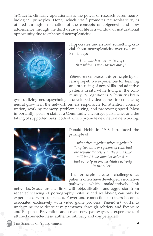*Yellowbrick* clinically operationalizes the power of research based neurobiological principles. Hope, which itself promotes neuroplasticity, is offered through explanation of the concepts of epigenesis and how adolescence through the third decade of life is a window of maturational opportunity due to enhanced neuroplasticity.



Hippocrates understood something crucial about neuroplasticity over two millennia ago;

*"That which is used - develops; that which is not - wastes away".* 

*Yellowbrick* embraces this principle by offering repetitive experiences for learning and practicing of new skills and adaptive patterns in situ while living in the community. *Re*Cognition is *Yellowbrick's* brain

gym utilizing neuropsychologist developed video games for enhancing neural growth in the network centers responsible for attention, concentration, working memory, problem solving, and processing speed. Most importantly, peers & staff as a Community encourage persistence and the taking of supported risks, both of which promote new neural networking.



Donald Hebb in 1948 introduced the principle of;

 *"what fires together wires together"; "any two cells or systems of cells that are repeatedly active at the same time will tend to become 'associated' so that activity in one facilitates activity in the other".* 

This principle creates challenges as patients often have developed associative pathways which maladaptively link

networks. Sexual arousal links with objectification and aggression from repeated viewing of pornography. Vitality and well-being can only be experienced with substances. Power and connection to others becomes associated exclusively with video game prowess. *Yellowbrick* works to undermine these destructive pathways, through sobriety and Exposure and Response Prevention and create new pathways via experiences of attuned connectedness, authentic intimacy and competence.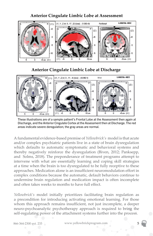**Anterior Cingulate Limbic Lobe at Assessment**



**Anterior Cingulate Limbic Lobe at Discharge**



These illustrations are of a sample patient's Frontal Lobe at the Assessment then again at Discharge, and the Anterior Cingulate Cortex at the Assessment then at Discharge. The red areas indicate severe deregulation; the gray areas are normal.

A fundamental evidence-based premise of *Yellowbrick's* model is that acute and/or complex psychiatric patients live in a state of brain dysregulation which defaults to automatic symptomatic and behavioral systems and thereby negatively reinforce the dysregulation (Biven, 2012; Panksepp, and Solms, 2018). The preponderance of treatment programs attempt to intervene with what are essentially learning and coping skill strategies at a time when the brain is too dysregulated to be fully receptive to these approaches. Medication alone is an insufficient neuromodulation effort in complex conditions because the automatic, default behaviors continue to undermine brain regulation and medication impact is often incomplete and often takes weeks to months to have full effect.

*Yellowbrick's* model initially prioritizes facilitating brain regulation as a precondition for introducing activating emotional learning. For those whom this approach remains insufficient, not just incomplete, a deeper neuro-psychoanalytic psychotherapy approach is required to bring the self-regulating power of the attachment systems further into the process.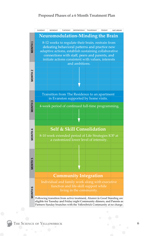# **Proposed Phases of a 6 Month Treatment Plan**

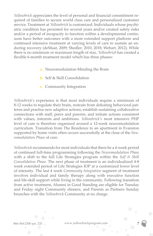*Yellowbrick* appreciates the level of personal and financial commitment required of families to secure world class care and personalized customer service. Treatment at *Yellowbrick* is customized. Individuals whose psychiatric condition has persisted for several years and/or created safety risks and/or a period of incapacity to function within a developmental continuum have better outcomes with a more extended support platform and continued intensive treatment at varying levels of care to sustain an enduring recovery (deMaat, 2009; Shedler, 2010, 2018; Webart, 2012). While there is no minimum or maximum length of stay, *Yellowbrick* has created a flexible 6-month treatment model which has three phases:

- **a.** Neuromodulation-Minding the Brain
- **b.** Self & Skill Consolidation
- **c.** Community Integration

*Yellowbrick's* experience is that most individuals require a minimum of 8-12 weeks to regulate their brain, restrain from defeating behavioral patterns and practice new adaptive actions, establish sustaining collaborative connections with staff, peers and parents, and initiate actions consistent with values, interests and ambitions. *Yellowbrick's* most intensive PHP level of care is therefore organized around a 12-week neuromodulation curriculum. Transition from The Residence to an apartment in Evanston supported by home visits often occurs successfully at the close of the *Neuromodulation Phase* of care.

*Yellowbrick* recommends for most individuals that there be a 4-week period of continued full-time programming following the *Neuromodulation Phase* with a shift to the full Life Strategies program within the *Self & Skill Consolidation Phase*. The next phase of treatment is an individualized 4-8 week extended period of Life Strategies IOP at a customized lower level of intensity. The last 4 week *Community Integration* segment of treatment involves individual and family therapy along with executive function and life-skill support while living in the community. Following transition from active treatment, Alumni in Good Standing are eligible for Tuesday and Friday night Community dinners, and Parents as Partners Sunday brunches with the *Yellowbrick* Community at no charge.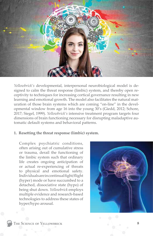

*Yellowbrick's* developmental, interpersonal neurobiological model is designed to calm the threat response (limbic) system, and thereby open receptivity to techniques for increasing cortical governance resulting in new learning and emotional growth. The model also facilitates the natural maturation of those brain systems which are coming "on-line" in the developmental window from age 16 into the young 30's (Giedd, 2012; Schore, 2017; Siegel, 1999). *Yellowbrick's* intensive treatment program targets four dimensions of brain functioning necessary for disrupting maladaptive automatic default systems and behavioral patterns.

#### **1. Resetting the threat response (limbic) system.**

Complex psychiatric conditions, often arising out of cumulative stress or trauma, derail the functioning of the limbic system such that ordinary life creates ongoing anticipation of or actual re-experiencing of threats to physical and emotional safety. Individuals are in continual fight/flight (hyper) mode or have succumbed to a detached, dissociative state (hypo) of being shut down. *Yellowbrick* employs multiple evidence and research-based technologies to address these states of hyper/hypo arousal.

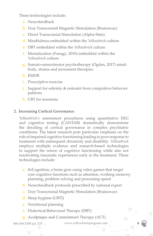These technologies include:

- **a.** Neurofeedback
- **b.** *Deep* Transcranial Magnetic Stimulation (Brainsway)
- **c.** Direct Transcranial Stimulation (Alpha-Stim)
- **d.** Mindfulness embedded within the *Yellowbrick* culture
- **e.** DBT embedded within the *Yellowbrick* culture
- **f.** Mentalization (Fonagy, 2010) embedded within the *Yellowbrick* culture
- **g.** Somato-sensorimotor psychotherapy (Ogden, 2017) mindbody, drama and movement therapies
- **h.** EMDR
- **i.** Prescriptive exercise
- **j.** Support for sobriety & restraint from compulsive behavior patterns
- **k.** CBT for insomnia

# **2. Increasing Cortical Governance**

*Yellowbrick's* assessment procedures using quantitative EEG and cognitive testing (CANTAB) dramatically demonstrate the derailing of cortical governance in complex psychiatric conditions. The latest research puts particular emphasis on the role of impaired cognitive functioning leading to poor response to treatment with subsequent chronicity and disability. *Yellowbrick*  employs multiple evidence and research-based technologies to support the return of cognitive functioning while also not reactivating traumatic experiences early in the treatment. These technologies include:

- **a.** *Re*Cognition; a brain gym using video games that target core cognitive functions such as attention, working memory, planning, problem solving and processing speed
- **b.** Neurofeedback protocols prescribed by national expert
- **c.** *Deep* Transcranial Magnetic Stimulation (Brainsway)
- **d.** Sleep hygiene (CBTI)
- **e.** Nutritional planning
- **f.** Dialectical Behavioral Therapy (DBT)
- **g.** Acceptance and Commitment Therapy (ACT)

866-364-2300 ext. 233 www.yellowbrickprogram.com 9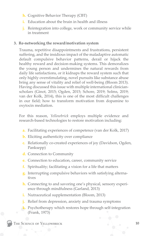- **h.** Cognitive Behavior Therapy (CBT)
- **i.** Education about the brain in health and illness
- **j.** Reintegration into college, work or community service while in treatment

# **3. Re-networking the reward/motivation system**

Trauma, repetitive disappointments and frustrations, persistent suffering, and the insidious impact of the maladaptive automatic default compulsive behavior patterns, derail or hijack the healthy reward and decision-making systems. This demoralizes the young person and undermines the natural rewards from daily life satisfactions, or it kidnaps the reward system such that only highly overstimulating, novel pursuits like substance abuse bring any sense of vitality and relief of well-being (Bloom 2013). Having discussed this issue with multiple international clinicianscholars (Ginot, 2015; Ogden, 2015; Schore, 2019; Solms, 2019; van der Kolk, 2014), this is one of the most difficult challenges in our field; how to transform motivation from dopamine to oxytocin mediation.

For this reason, *Yellowbrick* employs multiple evidence and research-based technologies to restore motivation including:

- **a.** Facilitating experiences of competence (van der Kolk, 2017)
- **b.** Eliciting authenticity over compliance
- **c.** Relationally co-created experiences of joy (Davidson, Ogden, Panksepp)
- **d.** Connection to Community
- **e.** Connection to education, career, community service
- **f.** Spirituality; facilitating a vision for a life that matters
- **g.** Interrupting compulsive behaviors with satisfying alternatives
- **h.** Connecting to and savoring one's physical, sensory experience through mindfulness (Garland, 2013)
- **i.** Nutraceutical supplementation (Bloom, 2013)
- **j.** Relief from depression, anxiety and trauma symptoms
- **k.** Psychotherapy which restores hope through self-integration (Frank, 1973)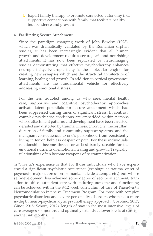**l.** Expert family therapy to promote connected autonomy (i.e., supportive connections with family that facilitate healthy independence and growth)

### **4. Facilitating Secure Attachment**

Since the paradigm changing work of John Bowlby (1993), which was dramatically validated by the Romanian orphan studies, it has been increasingly evident that all human growth and development requires secure, safe and nourishing attachments. It has now been replicated by neuroimaging studies demonstrating that effective psychotherapy enhances neuroplasticity. Neuroplasticity is the molecular engine for creating new synapses which are the structural architecture of learning, healing and growth. In addition to cortical governance, attachments are the fundamental vehicle for effectively addressing emotional distress.

For the less troubled among us who seek mental health care, supportive and cognitive psychotherapy approaches activate latent potentials for secure attachment which had been suppressed during times of significant stress. In contrast, complex psychiatric conditions are embedded within persons whose attachment patterns and development have been arrested, derailed and distorted by trauma, illness, chronicity, the resultant distortion of family and community support systems, and the malignant consequences to one's personhood from persistently living in terror, helpless despair or pain. For these individuals, relationships become threats or at best barely useable for the emotional nutrients of emotional healing and growth. Tragically, relationships often become weapons of re-traumatization.

*Yellowbrick's* experience is that for those individuals who have experienced a significant psychiatric occurrence (ex: singular trauma, onset of psychosis, major depression or mania, suicide attempt, etc.) but whose self-development has achieved some degree of secure attachment, transition to office outpatient care with enduring outcome and functioning can be achieved within the 8-12 week curriculum of care of *Yellowbrick's*  Neuromodulation Intensive Treatment Program. For those with complex psychiatric disorders and severe personality disorders who need a more in-depth neuro-psychoanalytic psychotherapy approach (Cozolino, 2017; Ginot, 2015; Schore, 2012), length of stay in the most intensive levels of care averages 3-4 months and optimally extends at lower levels of care for another 4-8 months.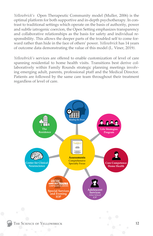*Yellowbrick's* Open Therapeutic Community model (Muller, 2006) is the optimal platform for both supportive and in-depth psychotherapy. In contrast to traditional settings which operate on the basis of authority, power and subtle iatrogenic coercion, the Open Setting emphasizes transparency and collaborative relationships as the basis for safety and individual responsibility. This allows the deeper parts of the troubled self to come forward rather than hide in the face of others' power. *Yellowbrick* has 14 years of outcome data demonstrating the value of this model (L. Viner, 2019*)*.

*Yellowbrick's* services are offered to enable customization of level of care spanning residential to home health visits. Transitions best derive collaboratively within Family Rounds strategic planning meetings involving emerging adult, parents, professional ptaff and the Medical Director. Patients are followed by the same care team throughout their treatment regardless of level of care.

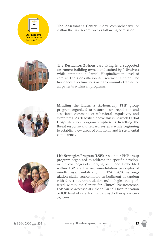

**The Assessment Center:** 3-day comprehensive or within the first several weeks following admission.



**The Residence:** 24-hour care living in a supported apartment building owned and staffed by *Yellowbrick* while attending a Partial Hospitalization level of care at The Consultation & Treatment Center. The Residence also functions as a Community Center for all patients within all programs.



**Minding the Brain:** a six-hour/day PHP group program organized to restore neuro-regulation and associated command of behavioral impulsivity and symptoms. As described above this 8-12-week Partial Hospitalization program emphasizes Resetting the threat response and reward systems while beginning to establish new areas of emotional and instrumental competence. C



**Life Strategies Program (LSP):** A six-hour PHP group program organized to address the specific developmental challenges of emerging adulthood. Embedded within LSP are the neuromodulation principles of mindfulness, mentalization, DBT/ACT/CBT self-regulation skills, sensorimotor embodiment in tandem with direct neuromodulation technologies being offered within the Center for Clinical Neuroscience. LSP can be accessed at either a Partial Hospitalization or IOP level of care. Individual psychotherapy occurs 3x/week.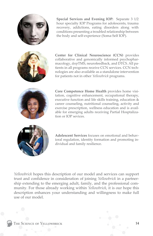

**Special Services and Evening IOP:** Separate 3 1/2 hour specialty IOP Programs for adolescents, trauma recovery, addictions, eating disorders along with conditions presenting a troubled relationship between the body and self-experience (Soma-Self IOP).



**Center for Clinical Neuroscience (CCN)** provides collaborative and genomically informed psychopharmacology, *deep*TMS, neurofeedback, and DTCS. All patients in all programs receive CCN services. CCN technologies are also available as a standalone intervention for patients not in other *Yellowbrick* programs.



**Core Competence Home Health** provides home visitation, cognitive enhancement, occupational therapy, executive function and life skills training, education & career counseling, nutritional counseling, activity and exercise prescription, wellness education and is available for emerging adults receiving Partial Hosptalization or IOP sevices.



**Adolescent Services** focuses on emotional and behavioral regulation, identity formation and promoting individual and family resilience.

*Yellowbrick* hopes this description of our model and services can support trust and confidence in consideration of joining *Yellowbrick* in a partnership extending to the emerging adult, family, and the professional community. For those already working within *Yellowbrick*, it is our hope this description enhances your understanding and willingness to make full use of our model.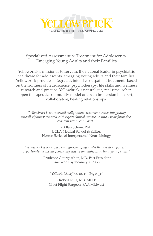

Specialized Assessment & Treatment for Adolescents, Emerging Young Adults and their Families

Yellowbrick's mission is to serve as the national leader in psychiatric healthcare for adolescents, emerging young adults and their families. Yellowbrick provides integrated, intensive outpatient treatments based on the frontiers of neuroscience, psychotherapy, life skills and wellness research and practice. Yellowbrick's naturalistic, real-time, sober, open therapeutic community model offers an immersion in expert, collaborative, healing relationships.

*"Yellowbrick is an internationally unique treatment center integrating interdisciplinary research with expert clinical experience into a transformative, coherent treatment model."*

> - Allan Schore, PhD UCLA Medical School & Editor, Norton Series of Interpersonal Neurobiology

*"Yellowbrick is a unique paradigm-changing model that creates a powerful opportunity for the diagnostically elusive and difficult to treat young adult."*

> - Prudence Gourgeschon, MD, Past President, American Psychoanalytic Assn.

> > *"Yellowbrick defines the cutting edge"*

- Robert Ruiz, MD, MPH; Chief Flight Surgeon, FAA Midwest